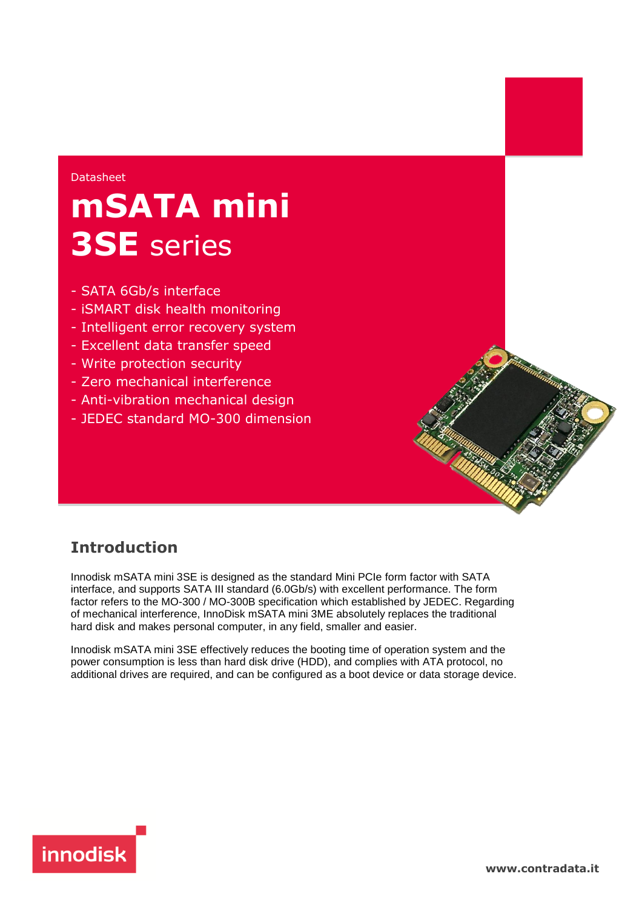#### Datasheet

# **mSATA mini 3SE** series

- SATA 6Gb/s interface
- iSMART disk health monitoring
- Intelligent error recovery system
- Excellent data transfer speed
- Write protection security
- Zero mechanical interference
- Anti-vibration mechanical design
- JEDEC standard MO-300 dimension

## **Introduction**

Innodisk mSATA mini 3SE is designed as the standard Mini PCIe form factor with SATA interface, and supports SATA III standard (6.0Gb/s) with excellent performance. The form factor refers to the MO-300 / MO-300B specification which established by JEDEC. Regarding of mechanical interference, InnoDisk mSATA mini 3ME absolutely replaces the traditional hard disk and makes personal computer, in any field, smaller and easier.

Innodisk mSATA mini 3SE effectively reduces the booting time of operation system and the power consumption is less than hard disk drive (HDD), and complies with ATA protocol, no additional drives are required, and can be configured as a boot device or data storage device.